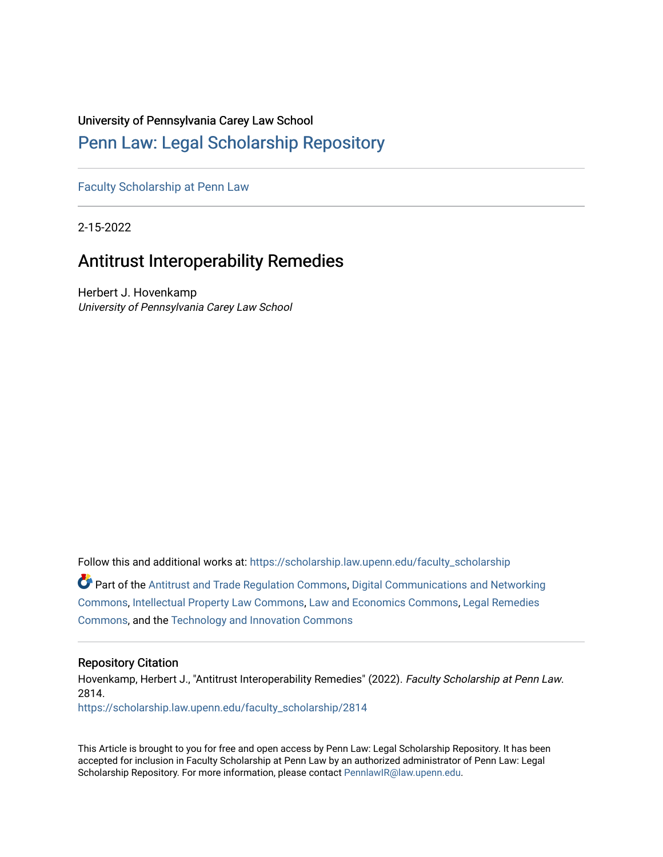# University of Pennsylvania Carey Law School

# [Penn Law: Legal Scholarship Repository](https://scholarship.law.upenn.edu/)

[Faculty Scholarship at Penn Law](https://scholarship.law.upenn.edu/faculty_scholarship)

2-15-2022

# Antitrust Interoperability Remedies

Herbert J. Hovenkamp University of Pennsylvania Carey Law School

Follow this and additional works at: [https://scholarship.law.upenn.edu/faculty\\_scholarship](https://scholarship.law.upenn.edu/faculty_scholarship?utm_source=scholarship.law.upenn.edu%2Ffaculty_scholarship%2F2814&utm_medium=PDF&utm_campaign=PDFCoverPages)  Part of the [Antitrust and Trade Regulation Commons,](http://network.bepress.com/hgg/discipline/911?utm_source=scholarship.law.upenn.edu%2Ffaculty_scholarship%2F2814&utm_medium=PDF&utm_campaign=PDFCoverPages) [Digital Communications and Networking](http://network.bepress.com/hgg/discipline/262?utm_source=scholarship.law.upenn.edu%2Ffaculty_scholarship%2F2814&utm_medium=PDF&utm_campaign=PDFCoverPages) [Commons](http://network.bepress.com/hgg/discipline/262?utm_source=scholarship.law.upenn.edu%2Ffaculty_scholarship%2F2814&utm_medium=PDF&utm_campaign=PDFCoverPages), [Intellectual Property Law Commons](http://network.bepress.com/hgg/discipline/896?utm_source=scholarship.law.upenn.edu%2Ffaculty_scholarship%2F2814&utm_medium=PDF&utm_campaign=PDFCoverPages), [Law and Economics Commons](http://network.bepress.com/hgg/discipline/612?utm_source=scholarship.law.upenn.edu%2Ffaculty_scholarship%2F2814&utm_medium=PDF&utm_campaign=PDFCoverPages), [Legal Remedies](http://network.bepress.com/hgg/discipline/618?utm_source=scholarship.law.upenn.edu%2Ffaculty_scholarship%2F2814&utm_medium=PDF&utm_campaign=PDFCoverPages) [Commons](http://network.bepress.com/hgg/discipline/618?utm_source=scholarship.law.upenn.edu%2Ffaculty_scholarship%2F2814&utm_medium=PDF&utm_campaign=PDFCoverPages), and the [Technology and Innovation Commons](http://network.bepress.com/hgg/discipline/644?utm_source=scholarship.law.upenn.edu%2Ffaculty_scholarship%2F2814&utm_medium=PDF&utm_campaign=PDFCoverPages) 

# Repository Citation

Hovenkamp, Herbert J., "Antitrust Interoperability Remedies" (2022). Faculty Scholarship at Penn Law. 2814. [https://scholarship.law.upenn.edu/faculty\\_scholarship/2814](https://scholarship.law.upenn.edu/faculty_scholarship/2814?utm_source=scholarship.law.upenn.edu%2Ffaculty_scholarship%2F2814&utm_medium=PDF&utm_campaign=PDFCoverPages)

This Article is brought to you for free and open access by Penn Law: Legal Scholarship Repository. It has been accepted for inclusion in Faculty Scholarship at Penn Law by an authorized administrator of Penn Law: Legal Scholarship Repository. For more information, please contact [PennlawIR@law.upenn.edu.](mailto:PennlawIR@law.upenn.edu)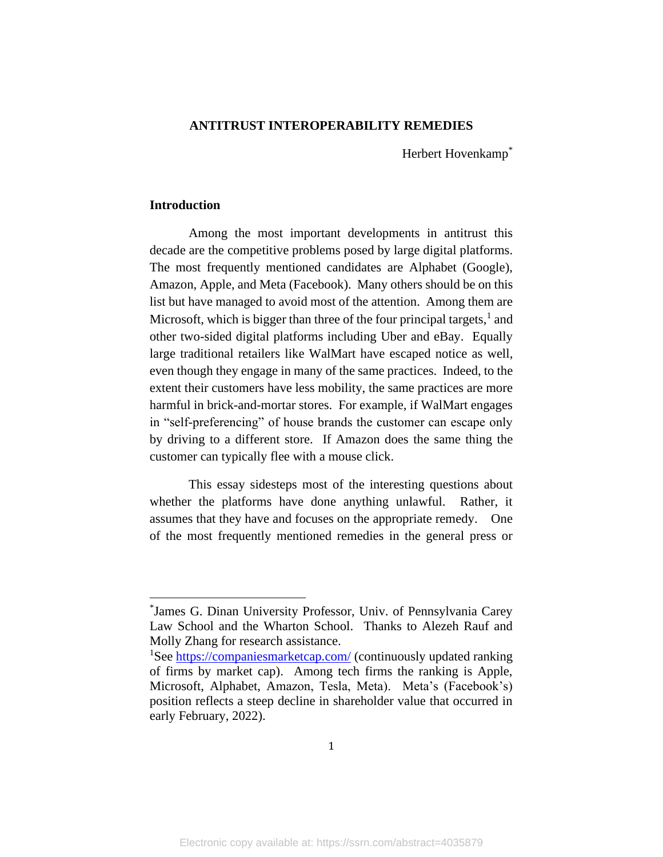#### **ANTITRUST INTEROPERABILITY REMEDIES**

Herbert Hovenkamp\*

#### **Introduction**

Among the most important developments in antitrust this decade are the competitive problems posed by large digital platforms. The most frequently mentioned candidates are Alphabet (Google), Amazon, Apple, and Meta (Facebook). Many others should be on this list but have managed to avoid most of the attention. Among them are Microsoft, which is bigger than three of the four principal targets, $<sup>1</sup>$  and</sup> other two-sided digital platforms including Uber and eBay. Equally large traditional retailers like WalMart have escaped notice as well, even though they engage in many of the same practices. Indeed, to the extent their customers have less mobility, the same practices are more harmful in brick-and-mortar stores. For example, if WalMart engages in "self-preferencing" of house brands the customer can escape only by driving to a different store. If Amazon does the same thing the customer can typically flee with a mouse click.

This essay sidesteps most of the interesting questions about whether the platforms have done anything unlawful. Rather, it assumes that they have and focuses on the appropriate remedy. One of the most frequently mentioned remedies in the general press or

<sup>\*</sup> James G. Dinan University Professor, Univ. of Pennsylvania Carey Law School and the Wharton School. Thanks to Alezeh Rauf and Molly Zhang for research assistance.

<sup>&</sup>lt;sup>1</sup>See<https://companiesmarketcap.com/> (continuously updated ranking of firms by market cap). Among tech firms the ranking is Apple, Microsoft, Alphabet, Amazon, Tesla, Meta). Meta's (Facebook's) position reflects a steep decline in shareholder value that occurred in early February, 2022).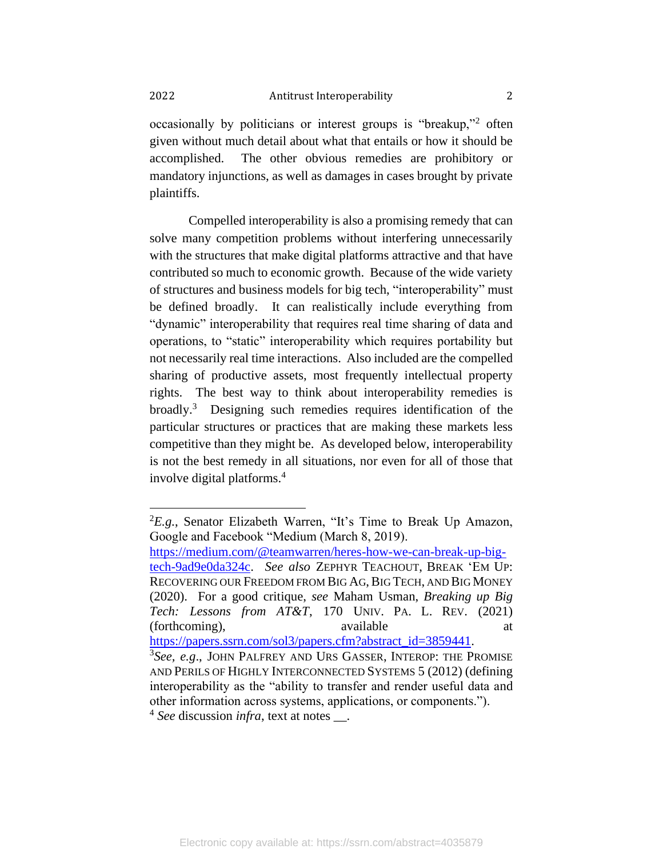occasionally by politicians or interest groups is "breakup,"<sup>2</sup> often given without much detail about what that entails or how it should be accomplished. The other obvious remedies are prohibitory or mandatory injunctions, as well as damages in cases brought by private plaintiffs.

Compelled interoperability is also a promising remedy that can solve many competition problems without interfering unnecessarily with the structures that make digital platforms attractive and that have contributed so much to economic growth. Because of the wide variety of structures and business models for big tech, "interoperability" must be defined broadly. It can realistically include everything from "dynamic" interoperability that requires real time sharing of data and operations, to "static" interoperability which requires portability but not necessarily real time interactions. Also included are the compelled sharing of productive assets, most frequently intellectual property rights. The best way to think about interoperability remedies is broadly.<sup>3</sup> Designing such remedies requires identification of the particular structures or practices that are making these markets less competitive than they might be. As developed below, interoperability is not the best remedy in all situations, nor even for all of those that involve digital platforms.<sup>4</sup>

[https://papers.ssrn.com/sol3/papers.cfm?abstract\\_id=3859441.](https://papers.ssrn.com/sol3/papers.cfm?abstract_id=3859441)

 ${}^{2}E.g.,$  Senator Elizabeth Warren, "It's Time to Break Up Amazon, Google and Facebook "Medium (March 8, 2019).

[https://medium.com/@teamwarren/heres-how-we-can-break-up-big](https://medium.com/@teamwarren/heres-how-we-can-break-up-big-tech-9ad9e0da324c)[tech-9ad9e0da324c.](https://medium.com/@teamwarren/heres-how-we-can-break-up-big-tech-9ad9e0da324c) *See also* ZEPHYR TEACHOUT, BREAK 'EM UP: RECOVERING OUR FREEDOM FROM BIG AG, BIG TECH, AND BIG MONEY (2020). For a good critique, *see* Maham Usman, *Breaking up Big Tech: Lessons from AT&T*, 170 UNIV. PA. L. REV. (2021) (forthcoming), available at a sample at  $\alpha$ 

<sup>3</sup> *See, e.g*., JOHN PALFREY AND URS GASSER, INTEROP: THE PROMISE AND PERILS OF HIGHLY INTERCONNECTED SYSTEMS 5 (2012) (defining interoperability as the "ability to transfer and render useful data and other information across systems, applications, or components.").

<sup>4</sup> *See* discussion *infra*, text at notes \_\_.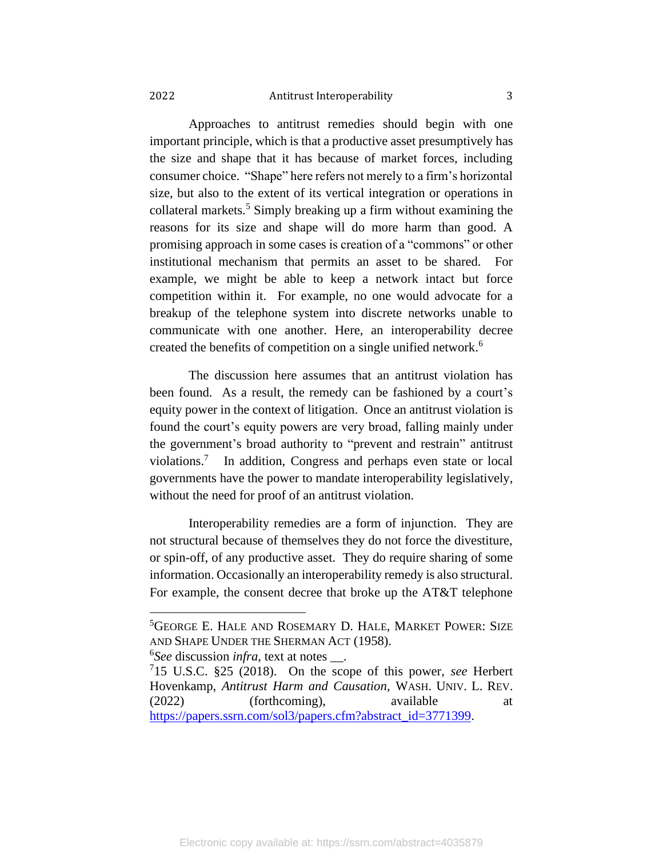Approaches to antitrust remedies should begin with one important principle, which is that a productive asset presumptively has the size and shape that it has because of market forces, including consumer choice. "Shape" here refers not merely to a firm's horizontal size, but also to the extent of its vertical integration or operations in collateral markets.<sup>5</sup> Simply breaking up a firm without examining the reasons for its size and shape will do more harm than good. A promising approach in some cases is creation of a "commons" or other institutional mechanism that permits an asset to be shared. For example, we might be able to keep a network intact but force competition within it. For example, no one would advocate for a breakup of the telephone system into discrete networks unable to communicate with one another. Here, an interoperability decree

The discussion here assumes that an antitrust violation has been found. As a result, the remedy can be fashioned by a court's equity power in the context of litigation. Once an antitrust violation is found the court's equity powers are very broad, falling mainly under the government's broad authority to "prevent and restrain" antitrust violations. 7 In addition, Congress and perhaps even state or local governments have the power to mandate interoperability legislatively, without the need for proof of an antitrust violation.

created the benefits of competition on a single unified network. 6

Interoperability remedies are a form of injunction. They are not structural because of themselves they do not force the divestiture, or spin-off, of any productive asset. They do require sharing of some information. Occasionally an interoperability remedy is also structural. For example, the consent decree that broke up the AT&T telephone

6 *See* discussion *infra*, text at notes \_\_.

<sup>&</sup>lt;sup>5</sup>GEORGE E. HALE AND ROSEMARY D. HALE, MARKET POWER: SIZE AND SHAPE UNDER THE SHERMAN ACT (1958).

<sup>7</sup> 15 U.S.C. §25 (2018). On the scope of this power, *see* Herbert Hovenkamp, *Antitrust Harm and Causation*, WASH. UNIV. L. REV. (2022) (forthcoming), available at [https://papers.ssrn.com/sol3/papers.cfm?abstract\\_id=3771399.](https://papers.ssrn.com/sol3/papers.cfm?abstract_id=3771399)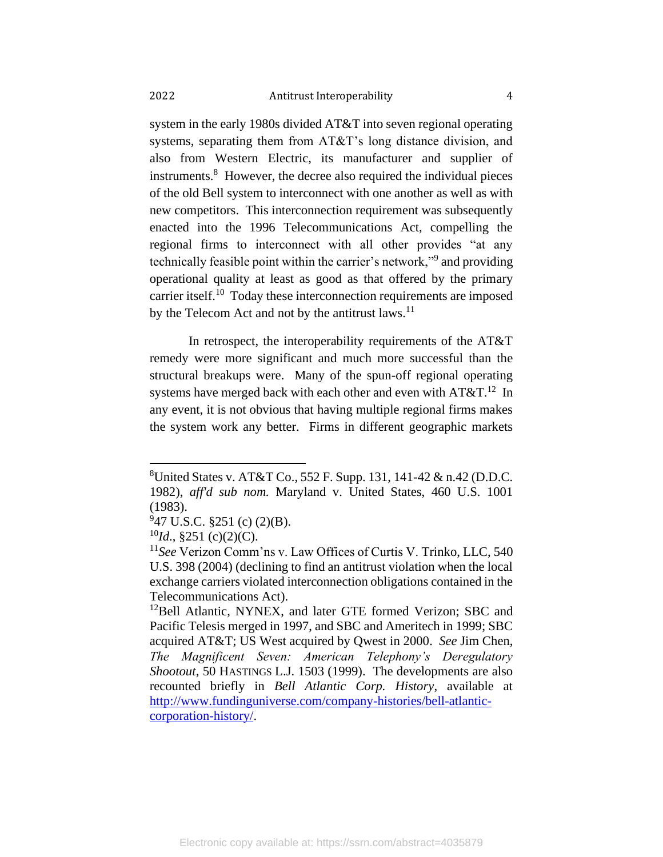system in the early 1980s divided AT&T into seven regional operating systems, separating them from AT&T's long distance division, and also from Western Electric, its manufacturer and supplier of instruments.<sup>8</sup> However, the decree also required the individual pieces of the old Bell system to interconnect with one another as well as with new competitors. This interconnection requirement was subsequently enacted into the 1996 Telecommunications Act, compelling the regional firms to interconnect with all other provides "at any technically feasible point within the carrier's network,"<sup>9</sup> and providing operational quality at least as good as that offered by the primary carrier itself.<sup>10</sup> Today these interconnection requirements are imposed by the Telecom Act and not by the antitrust laws. $^{11}$ 

In retrospect, the interoperability requirements of the AT&T remedy were more significant and much more successful than the structural breakups were. Many of the spun-off regional operating systems have merged back with each other and even with  $AT&T.^{12}$  In any event, it is not obvious that having multiple regional firms makes the system work any better. Firms in different geographic markets

<sup>&</sup>lt;sup>8</sup>United States v. AT&T Co., 552 F. Supp. 131, 141-42 & n.42 (D.D.C. 1982), *aff'd sub nom.* Maryland v. United States, 460 U.S. 1001 (1983).

 $947$  U.S.C. §251 (c) (2)(B).

 $^{10}Id.$ , §251 (c)(2)(C).

<sup>11</sup>*See* Verizon Comm'ns v. Law Offices of Curtis V. Trinko, LLC, 540 U.S. 398 (2004) (declining to find an antitrust violation when the local exchange carriers violated interconnection obligations contained in the Telecommunications Act).

<sup>&</sup>lt;sup>12</sup>Bell Atlantic, NYNEX, and later GTE formed Verizon; SBC and Pacific Telesis merged in 1997, and SBC and Ameritech in 1999; SBC acquired AT&T; US West acquired by Qwest in 2000. *See* Jim Chen, *The Magnificent Seven: American Telephony's Deregulatory Shootout*, 50 HASTINGS L.J. 1503 (1999). The developments are also recounted briefly in *Bell Atlantic Corp. History*, available at [http://www.fundinguniverse.com/company-histories/bell-atlantic](http://www.fundinguniverse.com/company-histories/bell-atlantic-corporation-history/)[corporation-history/.](http://www.fundinguniverse.com/company-histories/bell-atlantic-corporation-history/)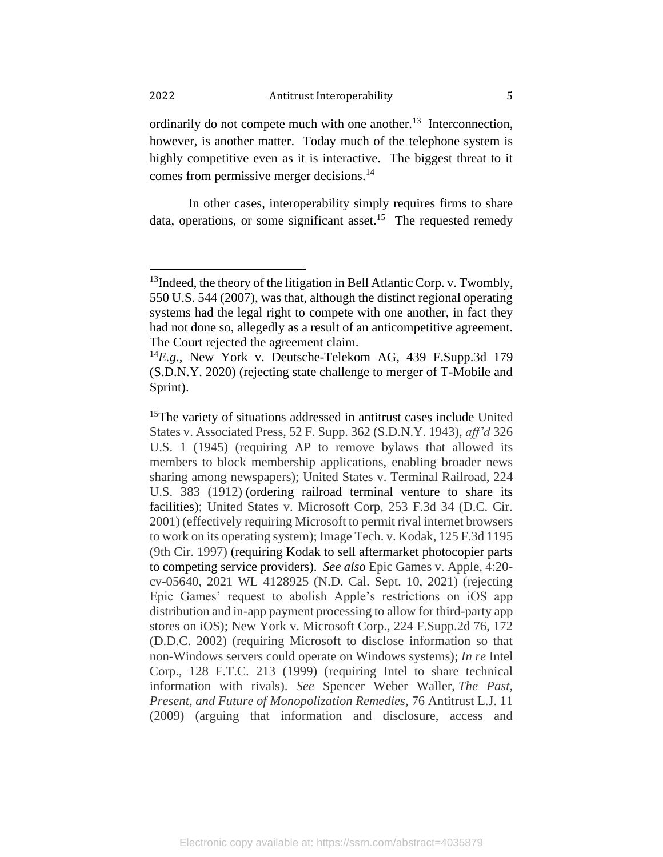ordinarily do not compete much with one another.<sup>13</sup> Interconnection, however, is another matter. Today much of the telephone system is highly competitive even as it is interactive. The biggest threat to it comes from permissive merger decisions.<sup>14</sup>

In other cases, interoperability simply requires firms to share data, operations, or some significant asset.<sup>15</sup> The requested remedy

 $13$ Indeed, the theory of the litigation in Bell Atlantic Corp. v. Twombly, 550 U.S. 544 (2007), was that, although the distinct regional operating systems had the legal right to compete with one another, in fact they had not done so, allegedly as a result of an anticompetitive agreement. The Court rejected the agreement claim.

<sup>14</sup>*E.g*., New York v. Deutsche-Telekom AG, 439 F.Supp.3d 179 (S.D.N.Y. 2020) (rejecting state challenge to merger of T-Mobile and Sprint).

<sup>&</sup>lt;sup>15</sup>The variety of situations addressed in antitrust cases include United States v. Associated Press, 52 F. Supp. 362 (S.D.N.Y. 1943), *aff'd* 326 U.S. 1 (1945) (requiring AP to remove bylaws that allowed its members to block membership applications, enabling broader news sharing among newspapers); United States v. Terminal Railroad, 224 U.S. 383 (1912) (ordering railroad terminal venture to share its facilities); United States v. Microsoft Corp, 253 F.3d 34 (D.C. Cir. 2001) (effectively requiring Microsoft to permit rival internet browsers to work on its operating system); Image Tech. v. Kodak, 125 F.3d 1195 (9th Cir. 1997) (requiring Kodak to sell aftermarket photocopier parts to competing service providers). *See also* Epic Games v. Apple, 4:20 cv-05640, 2021 WL 4128925 (N.D. Cal. Sept. 10, 2021) (rejecting Epic Games' request to abolish Apple's restrictions on iOS app distribution and in-app payment processing to allow for third-party app stores on iOS); New York v. Microsoft Corp., 224 F.Supp.2d 76, 172 (D.D.C. 2002) (requiring Microsoft to disclose information so that non-Windows servers could operate on Windows systems); *In re* Intel Corp., 128 F.T.C. 213 (1999) (requiring Intel to share technical information with rivals). *See* Spencer Weber Waller, *The Past, Present, and Future of Monopolization Remedies*, 76 Antitrust L.J. 11 (2009) (arguing that information and disclosure, access and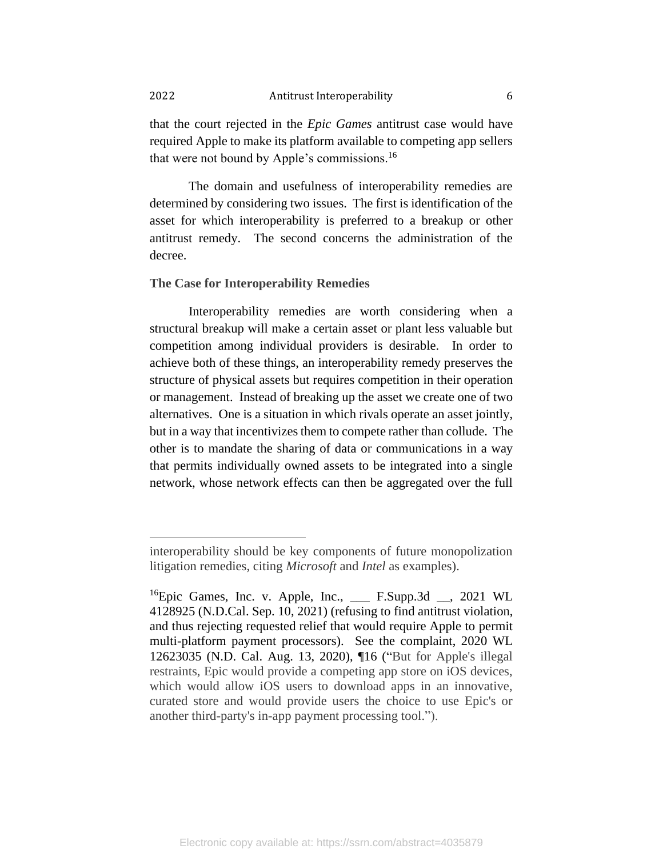that the court rejected in the *Epic Games* antitrust case would have required Apple to make its platform available to competing app sellers that were not bound by Apple's commissions.<sup>16</sup>

The domain and usefulness of interoperability remedies are determined by considering two issues. The first is identification of the asset for which interoperability is preferred to a breakup or other antitrust remedy. The second concerns the administration of the decree.

#### **The Case for Interoperability Remedies**

Interoperability remedies are worth considering when a structural breakup will make a certain asset or plant less valuable but competition among individual providers is desirable. In order to achieve both of these things, an interoperability remedy preserves the structure of physical assets but requires competition in their operation or management. Instead of breaking up the asset we create one of two alternatives. One is a situation in which rivals operate an asset jointly, but in a way that incentivizes them to compete rather than collude. The other is to mandate the sharing of data or communications in a way that permits individually owned assets to be integrated into a single network, whose network effects can then be aggregated over the full

interoperability should be key components of future monopolization litigation remedies, citing *Microsoft* and *Intel* as examples).

 $^{16}$ Epic Games, Inc. v. Apple, Inc., F.Supp.3d , 2021 WL 4128925 (N.D.Cal. Sep. 10, 2021) (refusing to find antitrust violation, and thus rejecting requested relief that would require Apple to permit multi-platform payment processors). See the complaint, 2020 WL 12623035 (N.D. Cal. Aug. 13, 2020), ¶16 ("But for Apple's illegal restraints, Epic would provide a competing app store on iOS devices, which would allow iOS users to download apps in an innovative, curated store and would provide users the choice to use Epic's or another third-party's in-app payment processing tool.").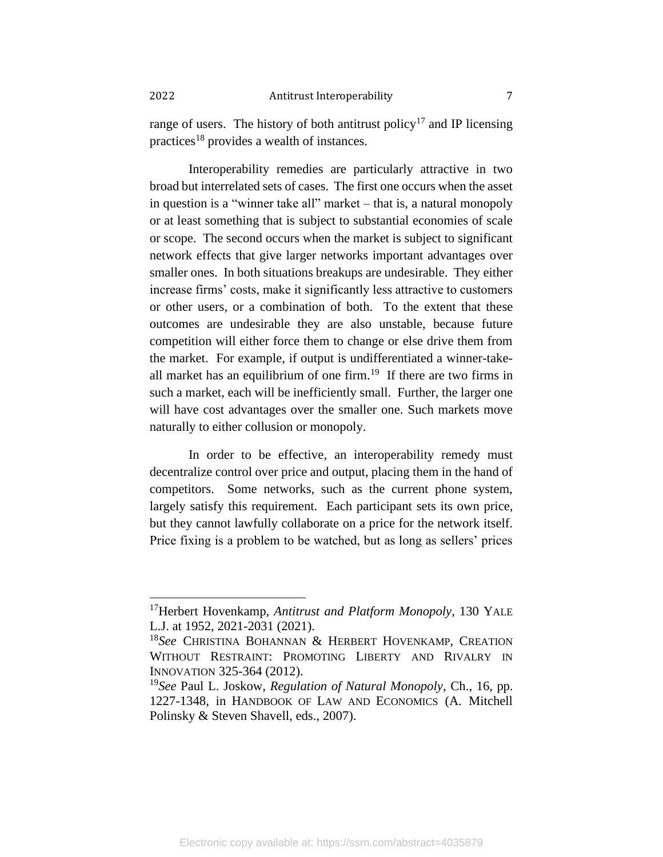range of users. The history of both antitrust policy<sup>17</sup> and IP licensing practices<sup>18</sup> provides a wealth of instances.

Interoperability remedies are particularly attractive in two broad but interrelated sets of cases. The first one occurs when the asset in question is a "winner take all" market – that is, a natural monopoly or at least something that is subject to substantial economies of scale or scope. The second occurs when the market is subject to significant network effects that give larger networks important advantages over smaller ones. In both situations breakups are undesirable. They either increase firms' costs, make it significantly less attractive to customers or other users, or a combination of both. To the extent that these outcomes are undesirable they are also unstable, because future competition will either force them to change or else drive them from the market. For example, if output is undifferentiated a winner-takeall market has an equilibrium of one firm.<sup>19</sup> If there are two firms in such a market, each will be inefficiently small. Further, the larger one will have cost advantages over the smaller one. Such markets move naturally to either collusion or monopoly.

In order to be effective, an interoperability remedy must decentralize control over price and output, placing them in the hand of competitors. Some networks, such as the current phone system, largely satisfy this requirement. Each participant sets its own price, but they cannot lawfully collaborate on a price for the network itself. Price fixing is a problem to be watched, but as long as sellers' prices

<sup>17</sup>Herbert Hovenkamp, *Antitrust and Platform Monopoly*, 130 YALE L.J. at 1952, 2021-2031 (2021).

<sup>18</sup>*See* CHRISTINA BOHANNAN & HERBERT HOVENKAMP, CREATION WITHOUT RESTRAINT: PROMOTING LIBERTY AND RIVALRY IN INNOVATION 325-364 (2012).

<sup>19</sup>*See* Paul L. Joskow, *Regulation of Natural Monopoly*, Ch., 16, pp. 1227-1348, in HANDBOOK OF LAW AND ECONOMICS (A. Mitchell Polinsky & Steven Shavell, eds., 2007).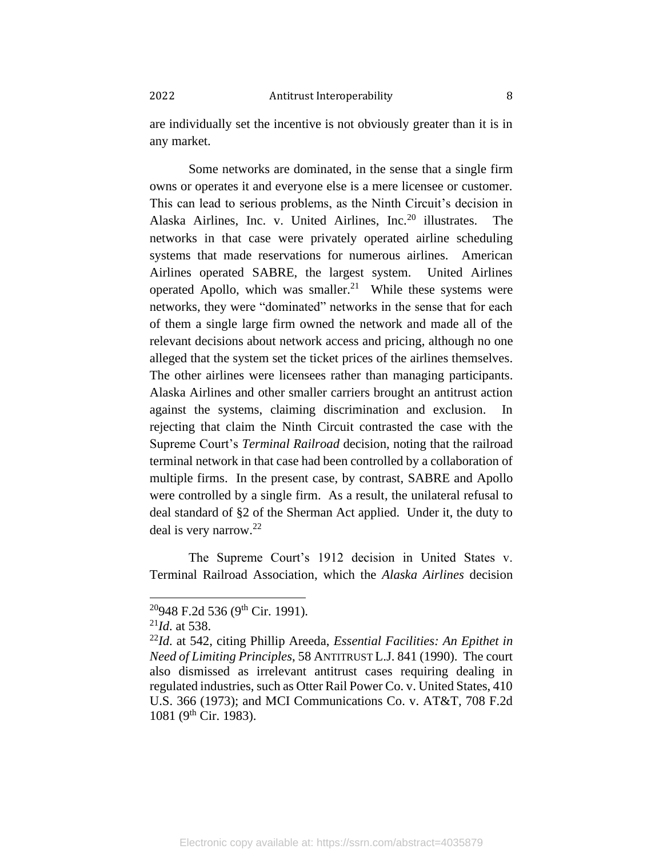are individually set the incentive is not obviously greater than it is in any market.

Some networks are dominated, in the sense that a single firm owns or operates it and everyone else is a mere licensee or customer. This can lead to serious problems, as the Ninth Circuit's decision in Alaska Airlines, Inc. v. United Airlines, Inc.<sup>20</sup> illustrates. The networks in that case were privately operated airline scheduling systems that made reservations for numerous airlines. American Airlines operated SABRE, the largest system. United Airlines operated Apollo, which was smaller. $21$  While these systems were networks, they were "dominated" networks in the sense that for each of them a single large firm owned the network and made all of the relevant decisions about network access and pricing, although no one alleged that the system set the ticket prices of the airlines themselves. The other airlines were licensees rather than managing participants. Alaska Airlines and other smaller carriers brought an antitrust action against the systems, claiming discrimination and exclusion. In rejecting that claim the Ninth Circuit contrasted the case with the Supreme Court's *Terminal Railroad* decision, noting that the railroad terminal network in that case had been controlled by a collaboration of multiple firms. In the present case, by contrast, SABRE and Apollo were controlled by a single firm. As a result, the unilateral refusal to deal standard of §2 of the Sherman Act applied. Under it, the duty to deal is very narrow.<sup>22</sup>

The Supreme Court's 1912 decision in United States v. Terminal Railroad Association, which the *Alaska Airlines* decision

 $20948$  F.2d 536 (9<sup>th</sup> Cir. 1991).

<sup>21</sup>*Id*. at 538.

<sup>22</sup>*Id*. at 542, citing Phillip Areeda, *Essential Facilities: An Epithet in Need of Limiting Principles*, 58 ANTITRUST L.J. 841 (1990). The court also dismissed as irrelevant antitrust cases requiring dealing in regulated industries, such as Otter Rail Power Co. v. United States, 410 U.S. 366 (1973); and MCI Communications Co. v. AT&T, 708 F.2d 1081 (9th Cir. 1983).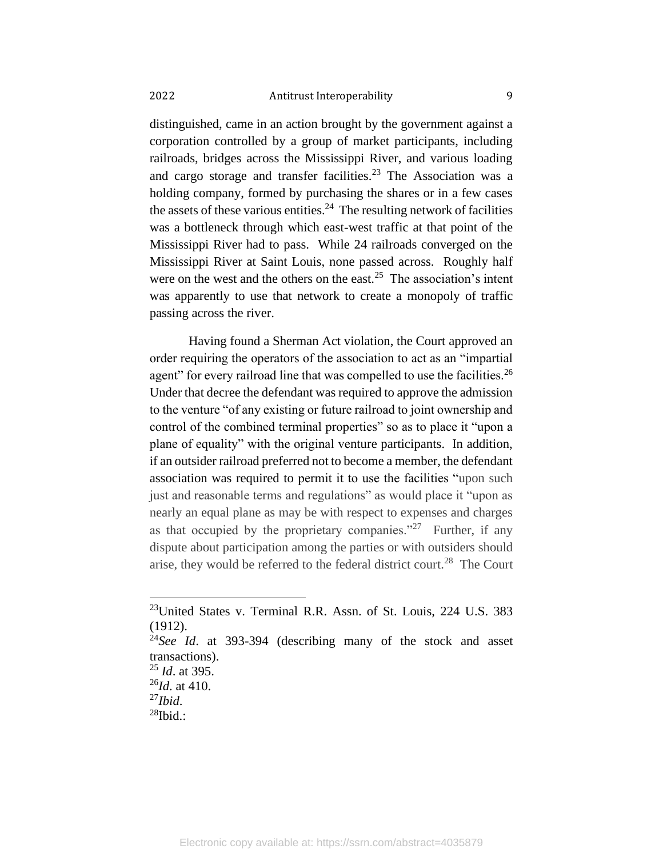distinguished, came in an action brought by the government against a corporation controlled by a group of market participants, including railroads, bridges across the Mississippi River, and various loading and cargo storage and transfer facilities.<sup>23</sup> The Association was a holding company, formed by purchasing the shares or in a few cases the assets of these various entities. $24$  The resulting network of facilities was a bottleneck through which east-west traffic at that point of the Mississippi River had to pass. While 24 railroads converged on the Mississippi River at Saint Louis, none passed across. Roughly half were on the west and the others on the east.<sup>25</sup> The association's intent was apparently to use that network to create a monopoly of traffic passing across the river.

Having found a Sherman Act violation, the Court approved an order requiring the operators of the association to act as an "impartial agent" for every railroad line that was compelled to use the facilities.<sup>26</sup> Under that decree the defendant was required to approve the admission to the venture "of any existing or future railroad to joint ownership and control of the combined terminal properties" so as to place it "upon a plane of equality" with the original venture participants. In addition, if an outsider railroad preferred not to become a member, the defendant association was required to permit it to use the facilities "upon such just and reasonable terms and regulations" as would place it "upon as nearly an equal plane as may be with respect to expenses and charges as that occupied by the proprietary companies."<sup>27</sup> Further, if any dispute about participation among the parties or with outsiders should arise, they would be referred to the federal district court.<sup>28</sup> The Court

<sup>&</sup>lt;sup>23</sup>United States v. Terminal R.R. Assn. of St. Louis, 224 U.S. 383 (1912).

<sup>24</sup>*See Id*. at 393-394 (describing many of the stock and asset transactions).

<sup>25</sup> *Id*. at 395.

<sup>26</sup>*Id*. at 410.

<sup>27</sup>*Ibid*.

 $28$ Ibid.: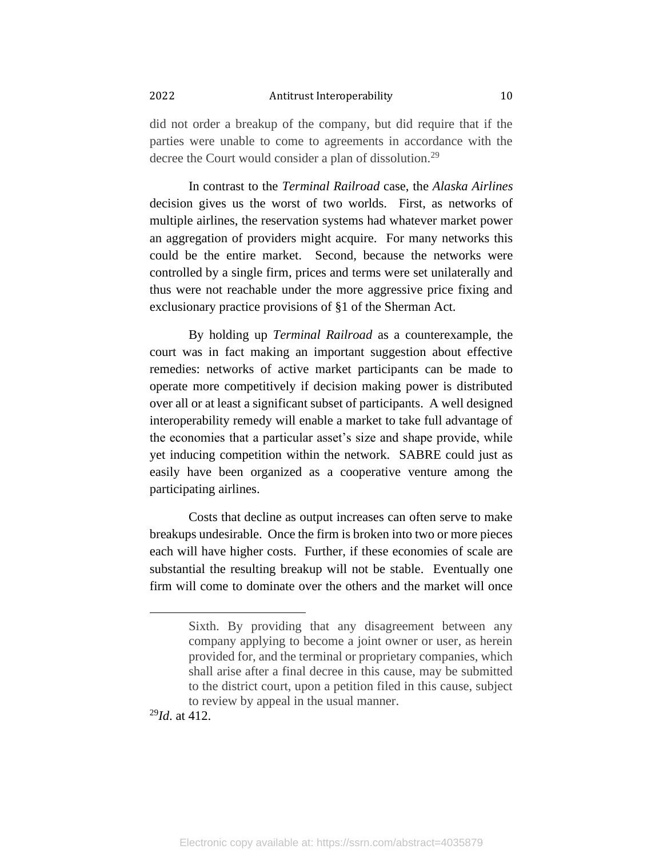did not order a breakup of the company, but did require that if the parties were unable to come to agreements in accordance with the decree the Court would consider a plan of dissolution.<sup>29</sup>

In contrast to the *Terminal Railroad* case, the *Alaska Airlines* decision gives us the worst of two worlds. First, as networks of multiple airlines, the reservation systems had whatever market power an aggregation of providers might acquire. For many networks this could be the entire market. Second, because the networks were controlled by a single firm, prices and terms were set unilaterally and thus were not reachable under the more aggressive price fixing and exclusionary practice provisions of §1 of the Sherman Act.

By holding up *Terminal Railroad* as a counterexample, the court was in fact making an important suggestion about effective remedies: networks of active market participants can be made to operate more competitively if decision making power is distributed over all or at least a significant subset of participants. A well designed interoperability remedy will enable a market to take full advantage of the economies that a particular asset's size and shape provide, while yet inducing competition within the network. SABRE could just as easily have been organized as a cooperative venture among the participating airlines.

Costs that decline as output increases can often serve to make breakups undesirable. Once the firm is broken into two or more pieces each will have higher costs. Further, if these economies of scale are substantial the resulting breakup will not be stable. Eventually one firm will come to dominate over the others and the market will once

<sup>29</sup>*Id*. at 412.

Sixth. By providing that any disagreement between any company applying to become a joint owner or user, as herein provided for, and the terminal or proprietary companies, which shall arise after a final decree in this cause, may be submitted to the district court, upon a petition filed in this cause, subject to review by appeal in the usual manner.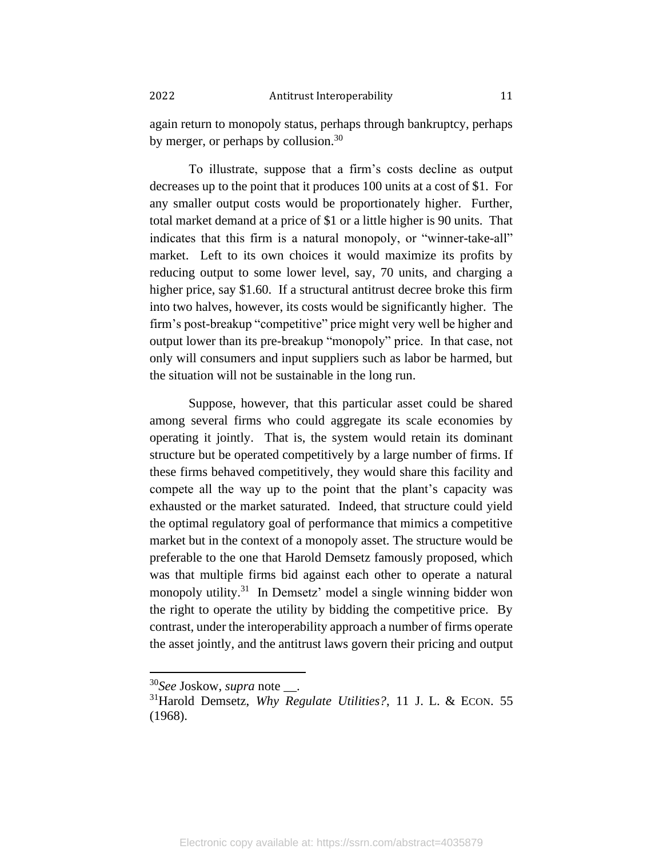again return to monopoly status, perhaps through bankruptcy, perhaps by merger, or perhaps by collusion.<sup>30</sup>

To illustrate, suppose that a firm's costs decline as output decreases up to the point that it produces 100 units at a cost of \$1. For any smaller output costs would be proportionately higher. Further, total market demand at a price of \$1 or a little higher is 90 units. That indicates that this firm is a natural monopoly, or "winner-take-all" market. Left to its own choices it would maximize its profits by reducing output to some lower level, say, 70 units, and charging a higher price, say \$1.60. If a structural antitrust decree broke this firm into two halves, however, its costs would be significantly higher. The firm's post-breakup "competitive" price might very well be higher and output lower than its pre-breakup "monopoly" price. In that case, not only will consumers and input suppliers such as labor be harmed, but the situation will not be sustainable in the long run.

Suppose, however, that this particular asset could be shared among several firms who could aggregate its scale economies by operating it jointly. That is, the system would retain its dominant structure but be operated competitively by a large number of firms. If these firms behaved competitively, they would share this facility and compete all the way up to the point that the plant's capacity was exhausted or the market saturated. Indeed, that structure could yield the optimal regulatory goal of performance that mimics a competitive market but in the context of a monopoly asset. The structure would be preferable to the one that Harold Demsetz famously proposed, which was that multiple firms bid against each other to operate a natural monopoly utility.<sup>31</sup> In Demsetz' model a single winning bidder won the right to operate the utility by bidding the competitive price. By contrast, under the interoperability approach a number of firms operate the asset jointly, and the antitrust laws govern their pricing and output

<sup>30</sup>*See* Joskow, *supra* note \_\_.

<sup>31</sup>Harold Demsetz, *Why Regulate Utilities?*, 11 J. L. & ECON. 55 (1968).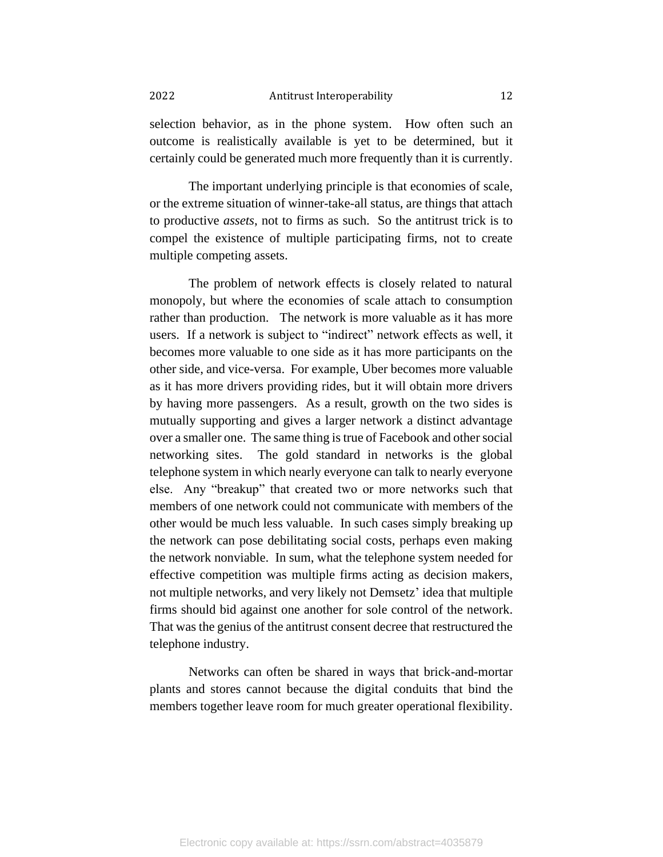selection behavior, as in the phone system. How often such an outcome is realistically available is yet to be determined, but it certainly could be generated much more frequently than it is currently.

The important underlying principle is that economies of scale, or the extreme situation of winner-take-all status, are things that attach to productive *assets*, not to firms as such. So the antitrust trick is to compel the existence of multiple participating firms, not to create multiple competing assets.

The problem of network effects is closely related to natural monopoly, but where the economies of scale attach to consumption rather than production. The network is more valuable as it has more users. If a network is subject to "indirect" network effects as well, it becomes more valuable to one side as it has more participants on the other side, and vice-versa. For example, Uber becomes more valuable as it has more drivers providing rides, but it will obtain more drivers by having more passengers. As a result, growth on the two sides is mutually supporting and gives a larger network a distinct advantage over a smaller one. The same thing is true of Facebook and other social networking sites. The gold standard in networks is the global telephone system in which nearly everyone can talk to nearly everyone else. Any "breakup" that created two or more networks such that members of one network could not communicate with members of the other would be much less valuable. In such cases simply breaking up the network can pose debilitating social costs, perhaps even making the network nonviable. In sum, what the telephone system needed for effective competition was multiple firms acting as decision makers, not multiple networks, and very likely not Demsetz' idea that multiple firms should bid against one another for sole control of the network. That was the genius of the antitrust consent decree that restructured the telephone industry.

Networks can often be shared in ways that brick-and-mortar plants and stores cannot because the digital conduits that bind the members together leave room for much greater operational flexibility.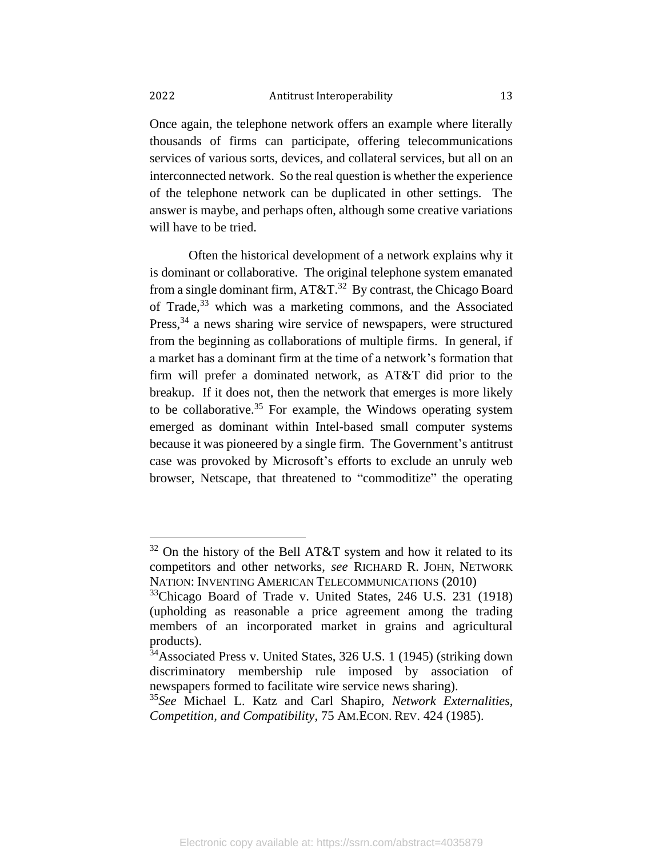Once again, the telephone network offers an example where literally thousands of firms can participate, offering telecommunications services of various sorts, devices, and collateral services, but all on an interconnected network. So the real question is whether the experience of the telephone network can be duplicated in other settings. The answer is maybe, and perhaps often, although some creative variations will have to be tried.

Often the historical development of a network explains why it is dominant or collaborative. The original telephone system emanated from a single dominant firm,  $AT&T.^{32}$  By contrast, the Chicago Board of Trade,<sup>33</sup> which was a marketing commons, and the Associated Press,<sup>34</sup> a news sharing wire service of newspapers, were structured from the beginning as collaborations of multiple firms. In general, if a market has a dominant firm at the time of a network's formation that firm will prefer a dominated network, as AT&T did prior to the breakup. If it does not, then the network that emerges is more likely to be collaborative.<sup>35</sup> For example, the Windows operating system emerged as dominant within Intel-based small computer systems because it was pioneered by a single firm. The Government's antitrust case was provoked by Microsoft's efforts to exclude an unruly web browser, Netscape, that threatened to "commoditize" the operating

 $32$  On the history of the Bell AT&T system and how it related to its competitors and other networks, *see* RICHARD R. JOHN, NETWORK NATION: INVENTING AMERICAN TELECOMMUNICATIONS (2010)

<sup>&</sup>lt;sup>33</sup>Chicago Board of Trade v. United States, 246 U.S. 231 (1918) (upholding as reasonable a price agreement among the trading members of an incorporated market in grains and agricultural products).

 $34$ Associated Press v. United States, 326 U.S. 1 (1945) (striking down discriminatory membership rule imposed by association of newspapers formed to facilitate wire service news sharing).

<sup>35</sup>*See* Michael L. Katz and Carl Shapiro, *Network Externalities, Competition, and Compatibility*, 75 AM.ECON. REV. 424 (1985).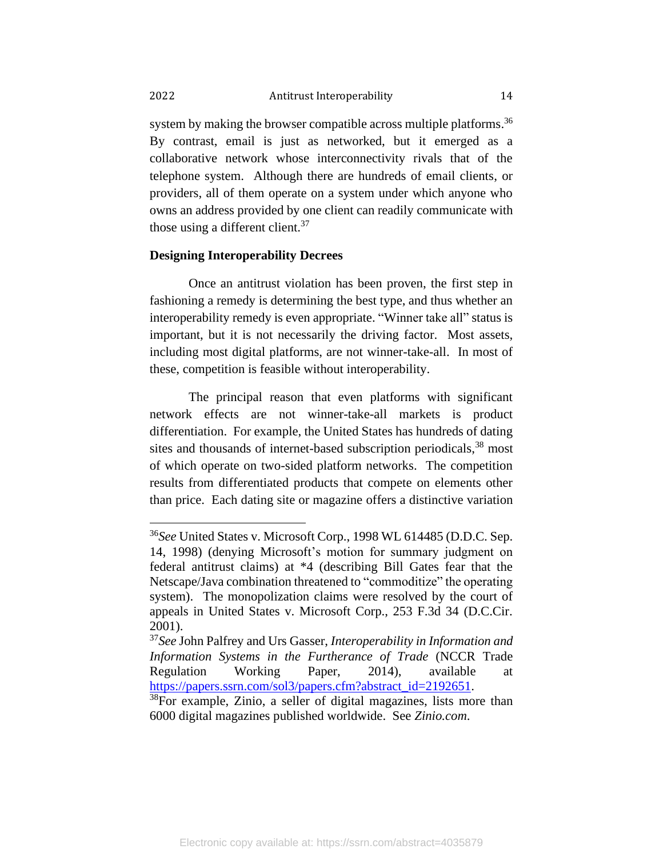system by making the browser compatible across multiple platforms.<sup>36</sup> By contrast, email is just as networked, but it emerged as a collaborative network whose interconnectivity rivals that of the telephone system. Although there are hundreds of email clients, or providers, all of them operate on a system under which anyone who owns an address provided by one client can readily communicate with those using a different client.<sup>37</sup>

# **Designing Interoperability Decrees**

Once an antitrust violation has been proven, the first step in fashioning a remedy is determining the best type, and thus whether an interoperability remedy is even appropriate. "Winner take all" status is important, but it is not necessarily the driving factor. Most assets, including most digital platforms, are not winner-take-all. In most of these, competition is feasible without interoperability.

The principal reason that even platforms with significant network effects are not winner-take-all markets is product differentiation. For example, the United States has hundreds of dating sites and thousands of internet-based subscription periodicals,<sup>38</sup> most of which operate on two-sided platform networks. The competition results from differentiated products that compete on elements other than price. Each dating site or magazine offers a distinctive variation

Electronic copy available at: https://ssrn.com/abstract=4035879

<sup>36</sup>*See* United States v. Microsoft Corp., 1998 WL 614485 (D.D.C. Sep. 14, 1998) (denying Microsoft's motion for summary judgment on federal antitrust claims) at \*4 (describing Bill Gates fear that the Netscape/Java combination threatened to "commoditize" the operating system). The monopolization claims were resolved by the court of appeals in United States v. Microsoft Corp., 253 F.3d 34 (D.C.Cir. 2001).

<sup>37</sup>*See* John Palfrey and Urs Gasser, *Interoperability in Information and Information Systems in the Furtherance of Trade* (NCCR Trade Regulation Working Paper, 2014), available at [https://papers.ssrn.com/sol3/papers.cfm?abstract\\_id=2192651.](https://papers.ssrn.com/sol3/papers.cfm?abstract_id=2192651)

<sup>&</sup>lt;sup>38</sup>For example, Zinio, a seller of digital magazines, lists more than 6000 digital magazines published worldwide. See *Zinio.com*.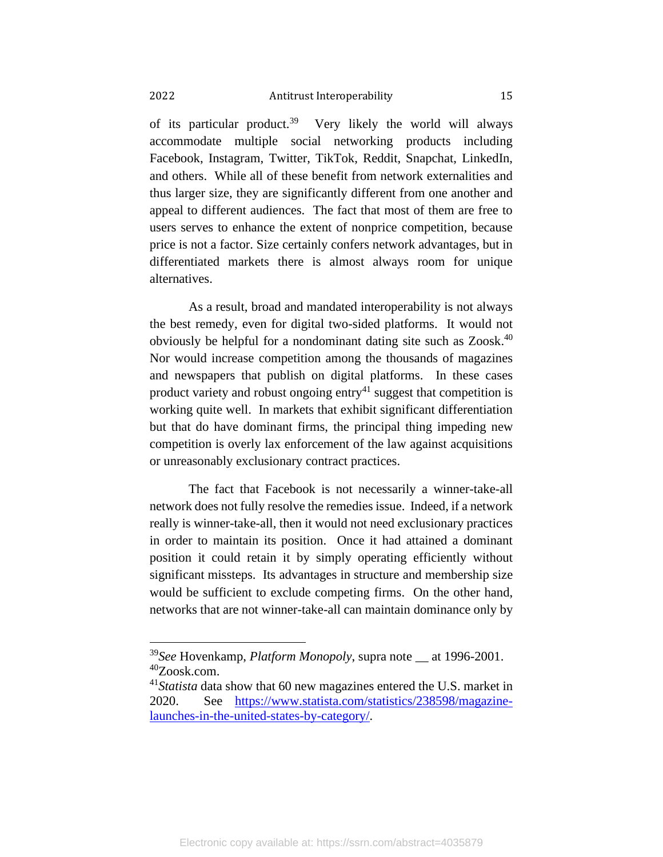of its particular product.<sup>39</sup> Very likely the world will always accommodate multiple social networking products including Facebook, Instagram, Twitter, TikTok, Reddit, Snapchat, LinkedIn, and others. While all of these benefit from network externalities and thus larger size, they are significantly different from one another and appeal to different audiences. The fact that most of them are free to users serves to enhance the extent of nonprice competition, because price is not a factor. Size certainly confers network advantages, but in differentiated markets there is almost always room for unique alternatives.

As a result, broad and mandated interoperability is not always the best remedy, even for digital two-sided platforms. It would not obviously be helpful for a nondominant dating site such as Zoosk. 40 Nor would increase competition among the thousands of magazines and newspapers that publish on digital platforms. In these cases product variety and robust ongoing entry<sup>41</sup> suggest that competition is working quite well. In markets that exhibit significant differentiation but that do have dominant firms, the principal thing impeding new competition is overly lax enforcement of the law against acquisitions or unreasonably exclusionary contract practices.

The fact that Facebook is not necessarily a winner-take-all network does not fully resolve the remedies issue. Indeed, if a network really is winner-take-all, then it would not need exclusionary practices in order to maintain its position. Once it had attained a dominant position it could retain it by simply operating efficiently without significant missteps. Its advantages in structure and membership size would be sufficient to exclude competing firms. On the other hand, networks that are not winner-take-all can maintain dominance only by

<sup>39</sup>*See* Hovenkamp, *Platform Monopoly*, supra note \_\_ at 1996-2001.  $40Z$ oosk.com.

<sup>&</sup>lt;sup>41</sup>*Statista* data show that 60 new magazines entered the U.S. market in 2020. See [https://www.statista.com/statistics/238598/magazine](https://www.statista.com/statistics/238598/magazine-launches-in-the-united-states-by-category/)[launches-in-the-united-states-by-category/.](https://www.statista.com/statistics/238598/magazine-launches-in-the-united-states-by-category/)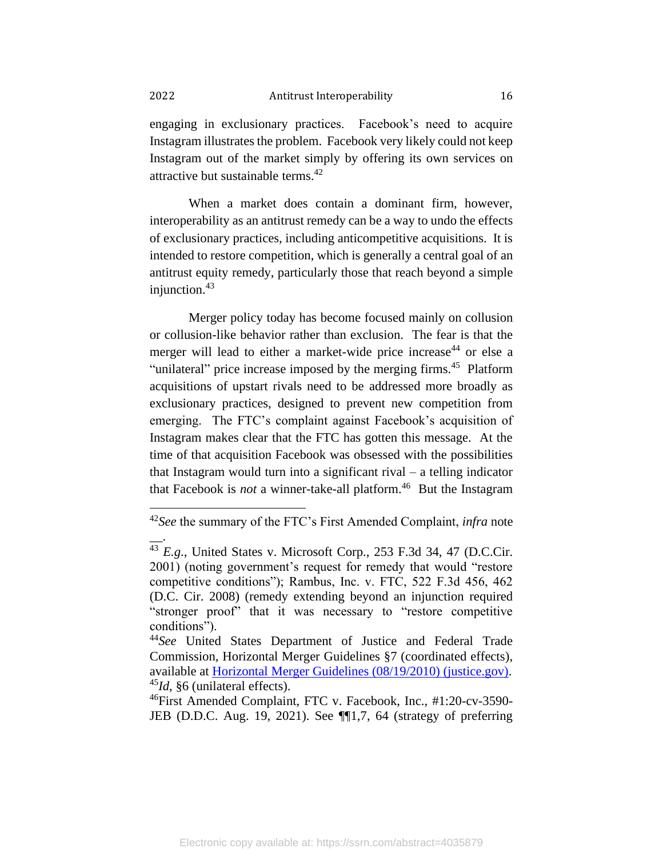engaging in exclusionary practices. Facebook's need to acquire Instagram illustrates the problem. Facebook very likely could not keep Instagram out of the market simply by offering its own services on attractive but sustainable terms.<sup>42</sup>

When a market does contain a dominant firm, however, interoperability as an antitrust remedy can be a way to undo the effects of exclusionary practices, including anticompetitive acquisitions. It is intended to restore competition, which is generally a central goal of an antitrust equity remedy, particularly those that reach beyond a simple injunction. 43

Merger policy today has become focused mainly on collusion or collusion-like behavior rather than exclusion. The fear is that the merger will lead to either a market-wide price increase<sup>44</sup> or else a "unilateral" price increase imposed by the merging firms.<sup>45</sup> Platform acquisitions of upstart rivals need to be addressed more broadly as exclusionary practices, designed to prevent new competition from emerging. The FTC's complaint against Facebook's acquisition of Instagram makes clear that the FTC has gotten this message. At the time of that acquisition Facebook was obsessed with the possibilities that Instagram would turn into a significant rival – a telling indicator that Facebook is *not* a winner-take-all platform. 46 But the Instagram

 $\overline{\phantom{a}}$ .

<sup>42</sup>*See* the summary of the FTC's First Amended Complaint, *infra* note

<sup>43</sup> *E.g*., United States v. Microsoft Corp., 253 F.3d 34, 47 (D.C.Cir. 2001) (noting government's request for remedy that would "restore competitive conditions"); Rambus, Inc. v. FTC, 522 F.3d 456, 462 (D.C. Cir. 2008) (remedy extending beyond an injunction required "stronger proof" that it was necessary to "restore competitive conditions").

<sup>44</sup>*See* United States Department of Justice and Federal Trade Commission, Horizontal Merger Guidelines §7 (coordinated effects), available at [Horizontal Merger Guidelines \(08/19/2010\) \(justice.gov\).](https://www.justice.gov/atr/horizontal-merger-guidelines-08192010) <sup>45</sup>*Id*, §6 (unilateral effects).

 $^{46}$ First Amended Complaint, FTC v. Facebook, Inc., #1:20-cv-3590-JEB (D.D.C. Aug. 19, 2021). See ¶¶1,7, 64 (strategy of preferring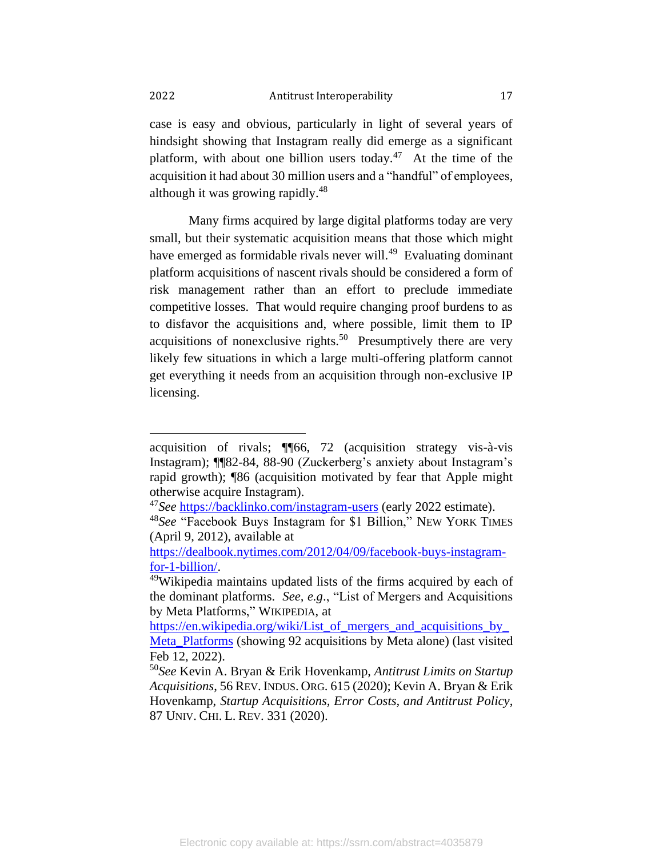case is easy and obvious, particularly in light of several years of hindsight showing that Instagram really did emerge as a significant platform, with about one billion users today. $47$  At the time of the acquisition it had about 30 million users and a "handful" of employees, although it was growing rapidly. 48

Many firms acquired by large digital platforms today are very small, but their systematic acquisition means that those which might have emerged as formidable rivals never will.<sup>49</sup> Evaluating dominant platform acquisitions of nascent rivals should be considered a form of risk management rather than an effort to preclude immediate competitive losses. That would require changing proof burdens to as to disfavor the acquisitions and, where possible, limit them to IP acquisitions of nonexclusive rights.<sup>50</sup> Presumptively there are very likely few situations in which a large multi-offering platform cannot get everything it needs from an acquisition through non-exclusive IP licensing.

acquisition of rivals; ¶¶66, 72 (acquisition strategy vis-à-vis Instagram); ¶¶82-84, 88-90 (Zuckerberg's anxiety about Instagram's rapid growth); ¶86 (acquisition motivated by fear that Apple might otherwise acquire Instagram).

<sup>47</sup>*See* <https://backlinko.com/instagram-users> (early 2022 estimate).

<sup>48</sup>*See* "Facebook Buys Instagram for \$1 Billion," NEW YORK TIMES (April 9, 2012), available at

[https://dealbook.nytimes.com/2012/04/09/facebook-buys-instagram](https://dealbook.nytimes.com/2012/04/09/facebook-buys-instagram-for-1-billion/)[for-1-billion/.](https://dealbook.nytimes.com/2012/04/09/facebook-buys-instagram-for-1-billion/)

<sup>&</sup>lt;sup>49</sup>Wikipedia maintains updated lists of the firms acquired by each of the dominant platforms. *See, e.g*., "List of Mergers and Acquisitions by Meta Platforms," WIKIPEDIA, at

https://en.wikipedia.org/wiki/List of mergers and acquisitions by [Meta\\_Platforms](https://en.wikipedia.org/wiki/List_of_mergers_and_acquisitions_by_Meta_Platforms) (showing 92 acquisitions by Meta alone) (last visited Feb 12, 2022).

<sup>50</sup>*See* Kevin A. Bryan & Erik Hovenkamp, *Antitrust Limits on Startup Acquisitions*, 56 REV. INDUS. ORG. 615 (2020); Kevin A. Bryan & Erik Hovenkamp, *Startup Acquisitions, Error Costs, and Antitrust Policy*, 87 UNIV. CHI. L. REV. 331 (2020).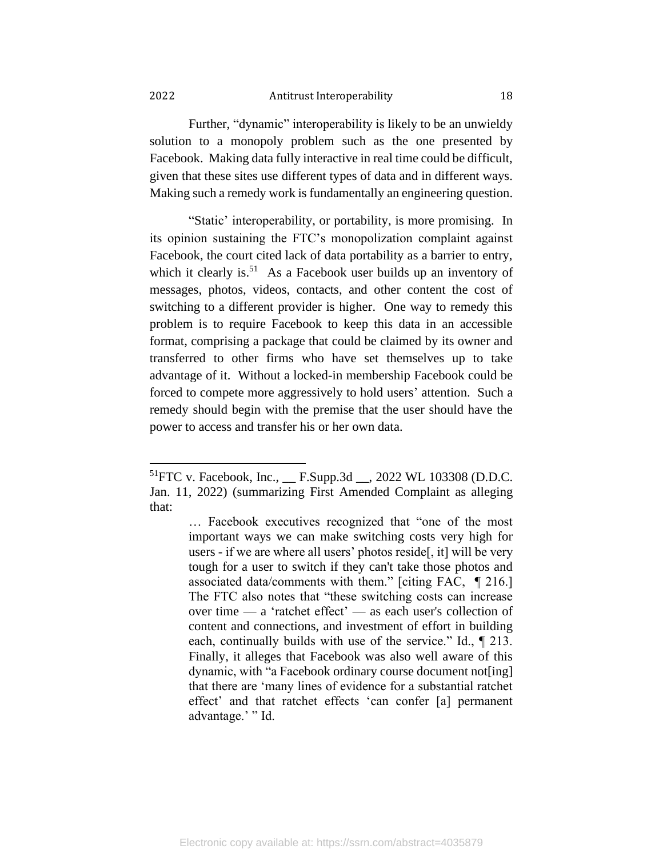Further, "dynamic" interoperability is likely to be an unwieldy solution to a monopoly problem such as the one presented by Facebook. Making data fully interactive in real time could be difficult, given that these sites use different types of data and in different ways. Making such a remedy work is fundamentally an engineering question.

"Static' interoperability, or portability, is more promising. In its opinion sustaining the FTC's monopolization complaint against Facebook, the court cited lack of data portability as a barrier to entry, which it clearly is.<sup>51</sup> As a Facebook user builds up an inventory of messages, photos, videos, contacts, and other content the cost of switching to a different provider is higher. One way to remedy this problem is to require Facebook to keep this data in an accessible format, comprising a package that could be claimed by its owner and transferred to other firms who have set themselves up to take advantage of it. Without a locked-in membership Facebook could be forced to compete more aggressively to hold users' attention. Such a remedy should begin with the premise that the user should have the power to access and transfer his or her own data.

 ${}^{51}$ FTC v. Facebook, Inc., F.Supp.3d , 2022 WL 103308 (D.D.C. Jan. 11, 2022) (summarizing First Amended Complaint as alleging that:

<sup>…</sup> Facebook executives recognized that "one of the most important ways we can make switching costs very high for users - if we are where all users' photos reside, it will be very tough for a user to switch if they can't take those photos and associated data/comments with them." [citing FAC, ¶ 216.] The FTC also notes that "these switching costs can increase over time — a 'ratchet effect' — as each user's collection of content and connections, and investment of effort in building each, continually builds with use of the service." Id.,  $\parallel$  213. Finally, it alleges that Facebook was also well aware of this dynamic, with "a Facebook ordinary course document not[ing] that there are 'many lines of evidence for a substantial ratchet effect' and that ratchet effects 'can confer [a] permanent advantage.' " Id.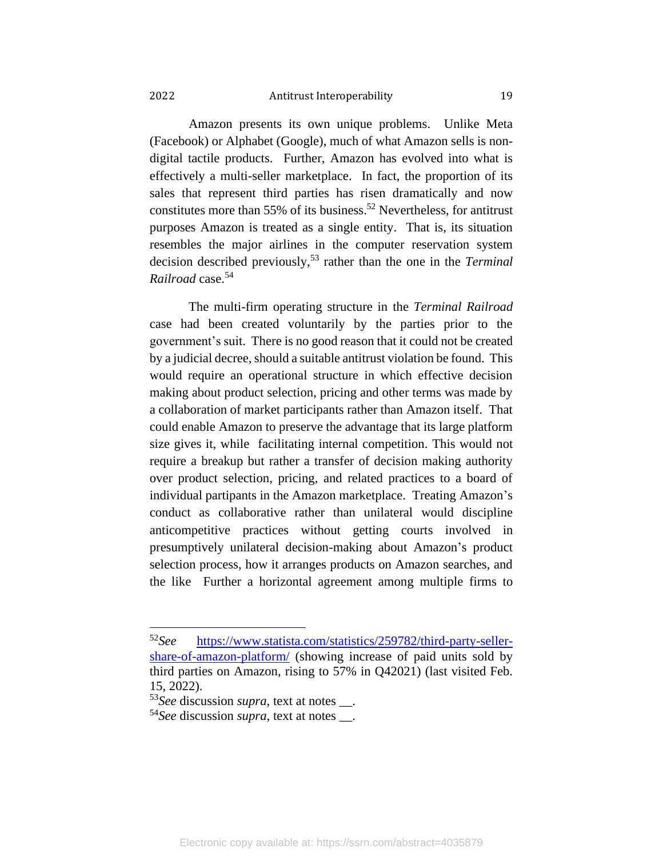Amazon presents its own unique problems. Unlike Meta (Facebook) or Alphabet (Google), much of what Amazon sells is nondigital tactile products. Further, Amazon has evolved into what is effectively a multi-seller marketplace. In fact, the proportion of its sales that represent third parties has risen dramatically and now constitutes more than 55% of its business.<sup>52</sup> Nevertheless, for antitrust purposes Amazon is treated as a single entity. That is, its situation resembles the major airlines in the computer reservation system decision described previously,<sup>53</sup> rather than the one in the *Terminal Railroad* case.<sup>54</sup>

The multi-firm operating structure in the *Terminal Railroad* case had been created voluntarily by the parties prior to the government's suit. There is no good reason that it could not be created by a judicial decree, should a suitable antitrust violation be found. This would require an operational structure in which effective decision making about product selection, pricing and other terms was made by a collaboration of market participants rather than Amazon itself. That could enable Amazon to preserve the advantage that its large platform size gives it, while facilitating internal competition. This would not require a breakup but rather a transfer of decision making authority over product selection, pricing, and related practices to a board of individual partipants in the Amazon marketplace. Treating Amazon's conduct as collaborative rather than unilateral would discipline anticompetitive practices without getting courts involved in presumptively unilateral decision-making about Amazon's product selection process, how it arranges products on Amazon searches, and the like Further a horizontal agreement among multiple firms to

<sup>52</sup>*See* [https://www.statista.com/statistics/259782/third-party-seller](https://www.statista.com/statistics/259782/third-party-seller-share-of-amazon-platform/)[share-of-amazon-platform/](https://www.statista.com/statistics/259782/third-party-seller-share-of-amazon-platform/) (showing increase of paid units sold by third parties on Amazon, rising to 57% in Q42021) (last visited Feb. 15, 2022).

<sup>53</sup>*See* discussion *supra*, text at notes \_\_.

<sup>54</sup>*See* discussion *supra*, text at notes \_\_.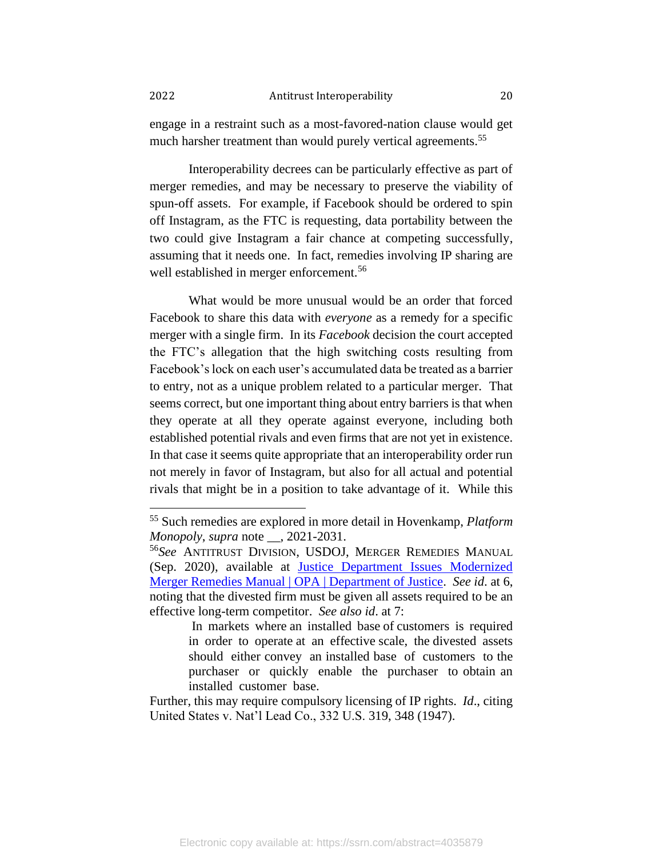engage in a restraint such as a most-favored-nation clause would get much harsher treatment than would purely vertical agreements.<sup>55</sup>

Interoperability decrees can be particularly effective as part of merger remedies, and may be necessary to preserve the viability of spun-off assets. For example, if Facebook should be ordered to spin off Instagram, as the FTC is requesting, data portability between the two could give Instagram a fair chance at competing successfully, assuming that it needs one. In fact, remedies involving IP sharing are well established in merger enforcement.<sup>56</sup>

What would be more unusual would be an order that forced Facebook to share this data with *everyone* as a remedy for a specific merger with a single firm. In its *Facebook* decision the court accepted the FTC's allegation that the high switching costs resulting from Facebook's lock on each user's accumulated data be treated as a barrier to entry, not as a unique problem related to a particular merger. That seems correct, but one important thing about entry barriers is that when they operate at all they operate against everyone, including both established potential rivals and even firms that are not yet in existence. In that case it seems quite appropriate that an interoperability order run not merely in favor of Instagram, but also for all actual and potential rivals that might be in a position to take advantage of it. While this

<sup>55</sup> Such remedies are explored in more detail in Hovenkamp, *Platform Monopoly*, *supra* note \_\_, 2021-2031.

<sup>56</sup>*See* ANTITRUST DIVISION, USDOJ, MERGER REMEDIES MANUAL (Sep. 2020), available at [Justice Department Issues Modernized](https://www.justice.gov/opa/pr/justice-department-issues-modernized-merger-remedies-manual)  [Merger Remedies Manual | OPA | Department of Justice.](https://www.justice.gov/opa/pr/justice-department-issues-modernized-merger-remedies-manual) *See id*. at 6, noting that the divested firm must be given all assets required to be an effective long-term competitor. *See also id*. at 7:

In markets where an installed base of customers is required in order to operate at an effective scale, the divested assets should either convey an installed base of customers to the purchaser or quickly enable the purchaser to obtain an installed customer base.

Further, this may require compulsory licensing of IP rights. *Id*., citing United States v. Nat'l Lead Co., 332 U.S. 319, 348 (1947).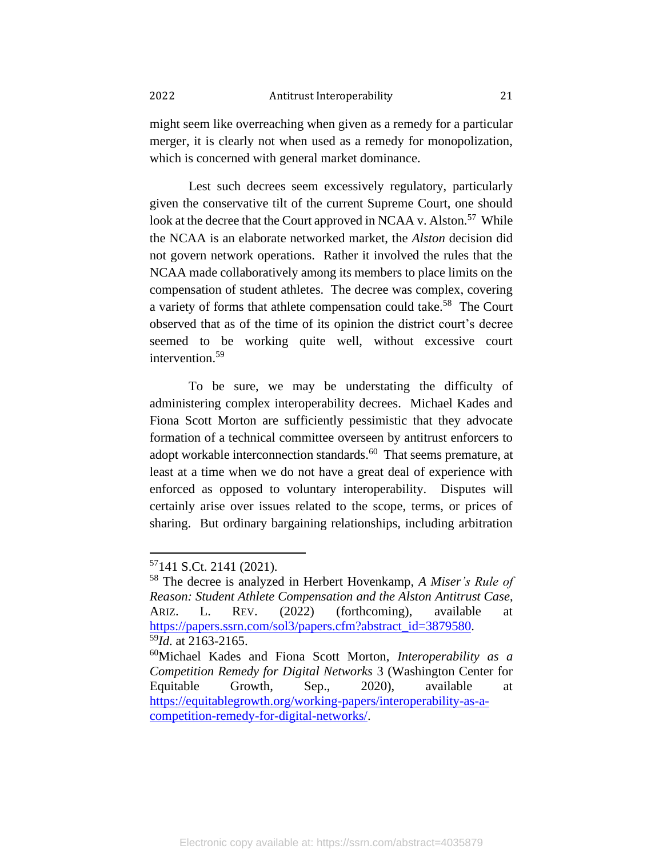might seem like overreaching when given as a remedy for a particular merger, it is clearly not when used as a remedy for monopolization, which is concerned with general market dominance.

Lest such decrees seem excessively regulatory, particularly given the conservative tilt of the current Supreme Court, one should look at the decree that the Court approved in NCAA v. Alston.<sup>57</sup> While the NCAA is an elaborate networked market, the *Alston* decision did not govern network operations. Rather it involved the rules that the NCAA made collaboratively among its members to place limits on the compensation of student athletes. The decree was complex, covering a variety of forms that athlete compensation could take.<sup>58</sup> The Court observed that as of the time of its opinion the district court's decree seemed to be working quite well, without excessive court intervention.<sup>59</sup>

To be sure, we may be understating the difficulty of administering complex interoperability decrees. Michael Kades and Fiona Scott Morton are sufficiently pessimistic that they advocate formation of a technical committee overseen by antitrust enforcers to adopt workable interconnection standards.<sup>60</sup> That seems premature, at least at a time when we do not have a great deal of experience with enforced as opposed to voluntary interoperability. Disputes will certainly arise over issues related to the scope, terms, or prices of sharing. But ordinary bargaining relationships, including arbitration

<sup>57</sup>141 S.Ct. 2141 (2021).

<sup>58</sup> The decree is analyzed in Herbert Hovenkamp, *A Miser's Rule of Reason: Student Athlete Compensation and the Alston Antitrust Case*, ARIZ. L. REV. (2022) (forthcoming), available at [https://papers.ssrn.com/sol3/papers.cfm?abstract\\_id=3879580.](https://papers.ssrn.com/sol3/papers.cfm?abstract_id=3879580) <sup>59</sup>*Id*. at 2163-2165.

<sup>60</sup>Michael Kades and Fiona Scott Morton, *Interoperability as a Competition Remedy for Digital Networks* 3 (Washington Center for Equitable Growth, Sep., 2020), available at [https://equitablegrowth.org/working-papers/interoperability-as-a](https://equitablegrowth.org/working-papers/interoperability-as-a-competition-remedy-for-digital-networks/)[competition-remedy-for-digital-networks/.](https://equitablegrowth.org/working-papers/interoperability-as-a-competition-remedy-for-digital-networks/)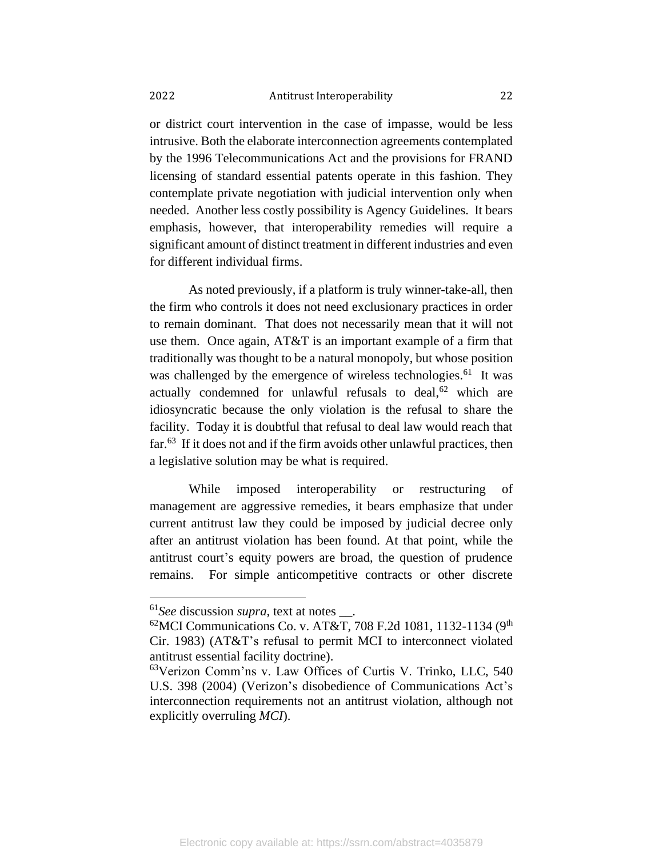or district court intervention in the case of impasse, would be less intrusive. Both the elaborate interconnection agreements contemplated by the 1996 Telecommunications Act and the provisions for FRAND licensing of standard essential patents operate in this fashion. They contemplate private negotiation with judicial intervention only when needed. Another less costly possibility is Agency Guidelines. It bears emphasis, however, that interoperability remedies will require a significant amount of distinct treatment in different industries and even for different individual firms.

As noted previously, if a platform is truly winner-take-all, then the firm who controls it does not need exclusionary practices in order to remain dominant. That does not necessarily mean that it will not use them. Once again, AT&T is an important example of a firm that traditionally was thought to be a natural monopoly, but whose position was challenged by the emergence of wireless technologies.<sup>61</sup> It was actually condemned for unlawful refusals to deal, $62$  which are idiosyncratic because the only violation is the refusal to share the facility. Today it is doubtful that refusal to deal law would reach that far.<sup>63</sup> If it does not and if the firm avoids other unlawful practices, then a legislative solution may be what is required.

While imposed interoperability or restructuring of management are aggressive remedies, it bears emphasize that under current antitrust law they could be imposed by judicial decree only after an antitrust violation has been found. At that point, while the antitrust court's equity powers are broad, the question of prudence remains. For simple anticompetitive contracts or other discrete

<sup>61</sup>*See* discussion *supra*, text at notes \_\_.

 $^{62}$ MCI Communications Co. v. AT&T, 708 F.2d 1081, 1132-1134 (9<sup>th</sup>) Cir. 1983) (AT&T's refusal to permit MCI to interconnect violated antitrust essential facility doctrine).

 $^{63}$ Verizon Comm'ns v. Law Offices of Curtis V. Trinko, LLC, 540 U.S. 398 (2004) (Verizon's disobedience of Communications Act's interconnection requirements not an antitrust violation, although not explicitly overruling *MCI*).